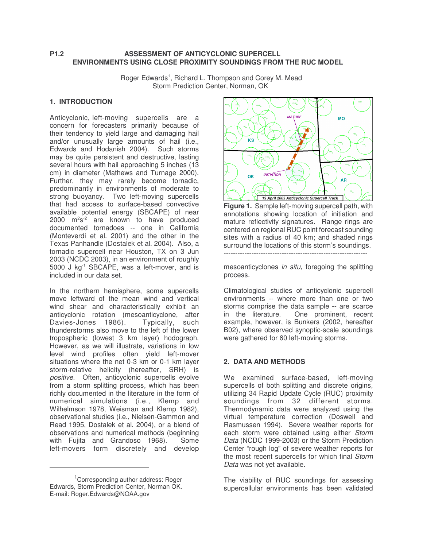## **P1.2 ASSESSMENT OF ANTICYCLONIC SUPERCELL ENVIRONMENTS USING CLOSE PROXIMITY SOUNDINGS FROM THE RUC MODEL**

Roger Edwards<sup>1</sup>, Richard L. Thompson and Corey M. Mead Storm Prediction Center, Norman, OK

## **1. INTRODUCTION**

Anticyclonic, left-moving supercells are a concern for forecasters primarily because of their tendency to yield large and damaging hail and/or unusually large amounts of hail (i.e., Edwards and Hodanish 2004). Such storms may be quite persistent and destructive, lasting several hours with hail approaching 5 inches (13 cm) in diameter (Mathews and Turnage 2000). Further, they may rarely become tornadic, predominantly in environments of moderate to strong buoyancy. Two left-moving supercells that had access to surface-based convective available potential energy (SBCAPE) of near  $2000$   $\mathrm{m}^2\mathrm{s}^{-2}$  are known to have produced documented tornadoes -- one in California (Monteverdi et al. 2001) and the other in the Texas Panhandle (Dostalek et al. 2004). Also, a tornadic supercell near Houston, TX on 3 Jun 2003 (NCDC 2003), in an environment of roughly 5000 J kg<sup>-1</sup> SBCAPE, was a left-mover, and is included in our data set.

In the northern hemisphere, some supercells move leftward of the mean wind and vertical wind shear and characteristically exhibit an anticyclonic rotation (mesoanticyclone, after Davies-Jones 1986). Typically, such thunderstorms also move to the left of the lower tropospheric (lowest 3 km layer) hodograph. However, as we will illustrate, variations in low level wind profiles often yield left-mover situations where the net 0-3 km or 0-1 km layer storm-relative helicity (hereafter, SRH) is *positive*. Often, anticyclonic supercells evolve from a storm splitting process, which has been richly documented in the literature in the form of numerical simulations (i.e., Klemp and Wilhelmson 1978, Weisman and Klemp 1982), observational studies (i.e., Nielsen-Gammon and Read 1995, Dostalek et al. 2004), or a blend of observations and numerical methods (beginning<br>with Fuilta and Grandoso 1968). Some with Fujita and Grandoso 1968). left-movers form discretely and develop



**Figure 1.** Sample left-moving supercell path, with annotations showing location of initiation and mature reflectivity signatures. Range rings are centered on regional RUC point forecast sounding sites with a radius of 40 km; and shaded rings surround the locations of this storm's soundings.

mesoanticyclones *in situ*, foregoing the splitting process.

Climatological studies of anticyclonic supercell environments -- where more than one or two storms comprise the data sample -- are scarce in the literature. One prominent, recent example, however, is Bunkers (2002, hereafter B02), where observed synoptic-scale soundings were gathered for 60 left-moving storms.

# **2. DATA AND METHODS**

We examined surface-based, left-moving supercells of both splitting and discrete origins, utilizing 34 Rapid Update Cycle (RUC) proximity soundings from 32 different storms. Thermodynamic data were analyzed using the virtual temperature correction (Doswell and Rasmussen 1994). Severe weather reports for each storm were obtained using either *Storm Data* (NCDC 1999-2003) or the Storm Prediction Center "rough log" of severe weather reports for the most recent supercells for which final *Storm Data* was not yet available.

The viability of RUC soundings for assessing supercellular environments has been validated

<sup>&</sup>lt;sup>1</sup>Corresponding author address: Roger Edwards, Storm Prediction Center, Norman OK. E-mail: Roger.Edwards@NOAA.gov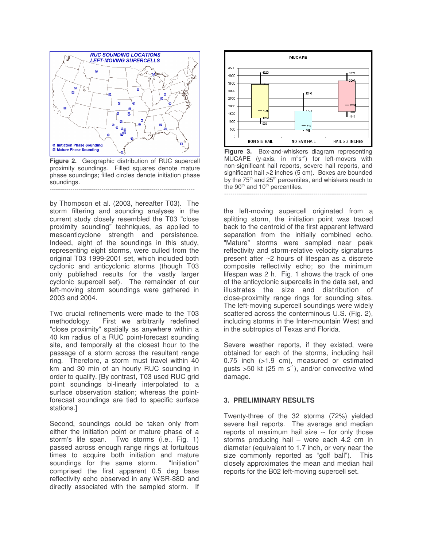

**Figure 2.** Geographic distribution of RUC supercell proximity soundings. Filled squares denote mature phase soundings; filled circles denote initiation phase soundings. ----------------------------------------------------------------------

by Thompson et al. (2003, hereafter T03). The storm filtering and sounding analyses in the current study closely resembled the T03 "close proximity sounding" techniques, as applied to mesoanticyclone strength and persistence. Indeed, eight of the soundings in this study, representing eight storms, were culled from the original T03 1999-2001 set, which included both cyclonic and anticyclonic storms (though T03 only published results for the vastly larger cyclonic supercell set). The remainder of our left-moving storm soundings were gathered in 2003 and 2004.

Two crucial refinements were made to the T03 methodology. First we arbitrarily redefined "close proximity" spatially as anywhere within a 40 km radius of a RUC point-forecast sounding site, and temporally at the closest hour to the passage of a storm across the resultant range ring. Therefore, a storm must travel within 40 km and 30 min of an hourly RUC sounding in order to qualify. [By contrast, T03 used RUC grid point soundings bi-linearly interpolated to a surface observation station; whereas the pointforecast soundings are tied to specific surface stations.]

Second, soundings could be taken only from either the initiation point or mature phase of a storm's life span. Two storms (i.e., Fig. 1) passed across enough range rings at fortuitous times to acquire both initiation and mature soundings for the same storm. "Initiation" comprised the first apparent 0.5 deg base reflectivity echo observed in any WSR-88D and directly associated with the sampled storm. If



**Figure 3.** Box-and-whiskers diagram representing MUCAPE (y-axis, in  $m^2s^2$ ) for left-movers with non-significant hail reports, severe hail reports, and significant hail >2 inches (5 cm). Boxes are bounded by the 75<sup>th</sup> and 25<sup>th</sup> percentiles, and whiskers reach to the  $90<sup>th</sup>$  and  $10<sup>th</sup>$  percentiles. ---------------------------------------------------------------------

the left-moving supercell originated from a splitting storm, the initiation point was traced back to the centroid of the first apparent leftward separation from the initially combined echo. "Mature" storms were sampled near peak reflectivity and storm-relative velocity signatures present after ~2 hours of lifespan as a discrete composite reflectivity echo; so the minimum lifespan was 2 h. Fig. 1 shows the track of one of the anticyclonic supercells in the data set, and illustrates the size and distribution of close-proximity range rings for sounding sites. The left-moving supercell soundings were widely scattered across the conterminous U.S. (Fig. 2), including storms in the Inter-mountain West and in the subtropics of Texas and Florida.

Severe weather reports, if they existed, were obtained for each of the storms, including hail 0.75 inch  $(21.9 \text{ cm})$ , measured or estimated gusts  $\geq$ 50 kt (25 m s<sup>-1</sup>), and/or convective wind damage.

### **3. PRELIMINARY RESULTS**

Twenty-three of the 32 storms (72%) yielded severe hail reports. The average and median reports of maximum hail size -- for only those storms producing hail – were each 4.2 cm in diameter (equivalent to 1.7 inch, or very near the size commonly reported as "golf ball"). This closely approximates the mean and median hail reports for the B02 left-moving supercell set.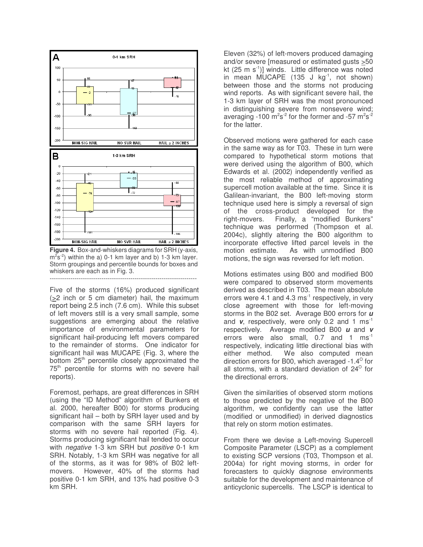

**Figure 4.** Box-and-whiskers diagrams for SRH (y-axis,  $\text{m}^2\text{s}^{-2}$ ) within the a) 0-1 km layer and b) 1-3 km layer. Storm groupings and percentile bounds for boxes and whiskers are each as in Fig. 3. -----------------------------------------------------------------------

Five of the storms (16%) produced significant (>2 inch or 5 cm diameter) hail, the maximum report being 2.5 inch (7.6 cm). While this subset of left movers still is a very small sample, some suggestions are emerging about the relative importance of environmental parameters for significant hail-producing left movers compared to the remainder of storms. One indicator for significant hail was MUCAPE (Fig. 3, where the bottom 25<sup>th</sup> percentile closely approximated the 75<sup>th</sup> percentile for storms with no severe hail reports).

Foremost, perhaps, are great differences in SRH (using the "ID Method" algorithm of Bunkers et al. 2000, hereafter B00) for storms producing significant hail – both by SRH layer used and by comparison with the same SRH layers for storms with no severe hail reported (Fig. 4). Storms producing significant hail tended to occur with *negative* 1-3 km SRH but *positive* 0-1 km SRH. Notably, 1-3 km SRH was negative for all of the storms, as it was for 98% of B02 leftmovers. However, 40% of the storms had positive 0-1 km SRH, and 13% had positive 0-3 km SRH.

Eleven (32%) of left-movers produced damaging and/or severe [measured or estimated gusts >50 kt (25 m s<sup>-1</sup>)] winds. Little difference was noted in mean MUCAPE (135 J kg<sup>-1</sup>, not shown) between those and the storms not producing wind reports. As with significant severe hail, the 1-3 km layer of SRH was the most pronounced in distinguishing severe from nonsevere wind; averaging -100 m<sup>2</sup>s<sup>-2</sup> for the former and -57 m<sup>2</sup>s<sup>-2</sup> for the latter.

Observed motions were gathered for each case in the same way as for T03. These in turn were compared to hypothetical storm motions that were derived using the algorithm of B00, which Edwards et al. (2002) independently verified as the most reliable method of approximating supercell motion available at the time. Since it is Galilean-invariant, the B00 left-moving storm technique used here is simply a reversal of sign of the cross-product developed for the right-movers. Finally, a "modified Bunkers" technique was performed (Thompson et al. 2004c), slightly altering the B00 algorithm to incorporate effective lifted parcel levels in the As with unmodified B00 motions, the sign was reversed for left motion.

Motions estimates using B00 and modified B00 were compared to observed storm movements derived as described in T03. The mean absolute errors were 4.1 and 4.3 ms<sup>-1</sup> respectively, in very close agreement with those for left-moving storms in the B02 set. Average B00 errors for *u* and v, respectively, were only 0.2 and 1 ms<sup>-1</sup> respectively. Average modified B00 *u* and *v* errors were also small,  $0.7$  and 1 ms<sup>-1</sup> respectively, indicating little directional bias with either method. We also computed mean direction errors for B00, which averaged -1.4 $^{\circ}$  for all storms, with a standard deviation of 24 $^{\circ}$  for the directional errors.

Given the similarities of observed storm motions to those predicted by the negative of the B00 algorithm, we confidently can use the latter (modified or unmodified) in derived diagnostics that rely on storm motion estimates.

From there we devise a Left-moving Supercell Composite Parameter (LSCP) as a complement to existing SCP versions (T03, Thompson et al. 2004a) for right moving storms, in order for forecasters to quickly diagnose environments suitable for the development and maintenance of anticyclonic supercells. The LSCP is identical to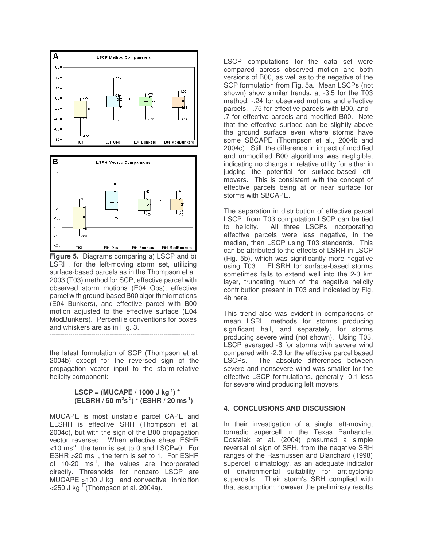



**Figure 5.** Diagrams comparing a) LSCP and b) LSRH, for the left-moving storm set, utilizing surface-based parcels as in the Thompson et al. 2003 (T03) method for SCP, effective parcel with observed storm motions (E04 Obs), effective parcel with ground-based B00 algorithmic motions (E04 Bunkers), and effective parcel with B00 motion adjusted to the effective surface (E04 ModBunkers). Percentile conventions for boxes and whiskers are as in Fig. 3. ----------------------------------------------------------------------

the latest formulation of SCP (Thompson et al. 2004b) except for the reversed sign of the propagation vector input to the storm-relative helicity component:

### **LSCP = (MUCAPE / 1000 J kg -1 ) \* (ELSRH / 50 m<sup>2</sup> s -2 ) \* (ESHR / 20 ms -1 )**

MUCAPE is most unstable parcel CAPE and ELSRH is effective SRH (Thompson et al. 2004c), but with the sign of the B00 propagation vector reversed. When effective shear ESHR <10 ms -1 , the term is set to 0 and LSCP=0. For ESHR  $>$ 20 ms<sup>-1</sup>, the term is set to 1. For ESHR of 10-20 ms<sup>-1</sup>, the values are incorporated directly. Thresholds for nonzero LSCP are MUCAPE  $\geq 100$  J kg<sup>-1</sup> and convective inhibition <250 J kg -1 (Thompson et al. 2004a).

LSCP computations for the data set were compared across observed motion and both versions of B00, as well as to the negative of the SCP formulation from Fig. 5a. Mean LSCPs (not shown) show similar trends, at -3.5 for the T03 method, -.24 for observed motions and effective parcels, -.75 for effective parcels with B00, and - .7 for effective parcels and modified B00. Note that the effective surface can be slightly above the ground surface even where storms have some SBCAPE (Thompson et al., 2004b and 2004c). Still, the difference in impact of modified and unmodified B00 algorithms was negligible, indicating no change in relative utility for either in judging the potential for surface-based leftmovers. This is consistent with the concept of effective parcels being at or near surface for storms with SBCAPE.

The separation in distribution of effective parcel LSCP from T03 computation LSCP can be tied to helicity. All three LSCPs incorporating effective parcels were less negative, in the median, than LSCP using T03 standards. This can be attributed to the effects of LSRH in LSCP (Fig. 5b), which was significantly more negative using T03. ELSRH for surface-based storms sometimes fails to extend well into the 2-3 km layer, truncating much of the negative helicity contribution present in T03 and indicated by Fig. 4b here.

This trend also was evident in comparisons of mean LSRH methods for storms producing significant hail, and separately, for storms producing severe wind (not shown). Using T03, LSCP averaged -6 for storms with severe wind compared with -2.3 for the effective parcel based LSCPs. The absolute differences between severe and nonsevere wind was smaller for the effective LSCP formulations, generally -0.1 less for severe wind producing left movers.

# **4. CONCLUSIONS AND DISCUSSION**

In their investigation of a single left-moving, tornadic supercell in the Texas Panhandle, Dostalek et al. (2004) presumed a simple reversal of sign of SRH, from the negative SRH ranges of the Rasmussen and Blanchard (1998) supercell climatology, as an adequate indicator of environmental suitability for anticyclonic supercells. Their storm's SRH complied with that assumption; however the preliminary results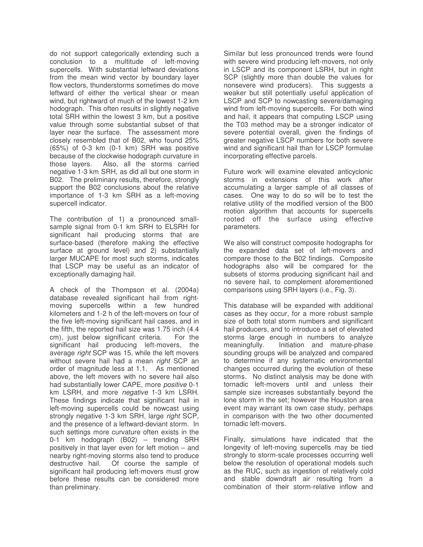do not support categorically extending such a conclusion to a multitude of left-moving supercells. With substantial leftward deviations from the mean wind vector by boundary layer flow vectors, thunderstorms sometimes do move leftward of either the vertical shear or mean wind, but rightward of much of the lowest 1-2 km hodograph. This often results in slightly negative total SRH within the lowest 3 km, but a positive value through some substantial subset of that layer near the surface. The assessment more closely resembled that of B02, who found 25% (65%) of 0-3 km (0-1 km) SRH was positive because of the clockwise hodograph curvature in those layers. Also, all the storms carried negative 1-3 km SRH, as did all but one storm in B02. The preliminary results, therefore, strongly support the B02 conclusions about the relative importance of 1-3 km SRH as a left-moving supercell indicator.

The contribution of 1) a pronounced smallsample signal from 0-1 km SRH to ELSRH for significant hail producing storms that are surface-based (therefore making the effective surface at ground level) and 2) substantially larger MUCAPE for most such storms, indicates that LSCP may be useful as an indicator of exceptionally damaging hail.

A check of the Thompson et al. (2004a) database revealed significant hail from rightmoving supercells within a few hundred kilometers and 1-2 h of the left-movers on four of the five left-moving significant hail cases, and in the fifth, the reported hail size was 1.75 inch (4.4 cm), just below significant criteria. For the significant hail producing left-movers, the average *right* SCP was 15, while the left movers without severe hail had a mean *right* SCP an order of magnitude less at 1.1. As mentioned above, the left movers with no severe hail also had substantially lower CAPE, more *positive* 0-1 km LSRH, and more *negative* 1-3 km LSRH. These findings indicate that significant hail in left-moving supercells could be nowcast using strongly negative 1-3 km SRH, large *right* SCP, and the presence of a leftward-deviant storm. In such settings more curvature often exists in the 0-1 km hodograph (B02) – trending SRH positively in that layer even for left motion – and nearby right-moving storms also tend to produce destructive hail. Of course the sample of significant hail producing left-movers must grow before these results can be considered more than preliminary.

Similar but less pronounced trends were found with severe wind producing left-movers, not only in LSCP and its component LSRH, but in right SCP (slightly more than double the values for nonsevere wind producers). This suggests a weaker but still potentially useful application of LSCP and SCP to nowcasting severe/damaging wind from left-moving supercells. For both wind and hail, it appears that computing LSCP using the T03 method may be a stronger indicator of severe potential overall, given the findings of greater negative LSCP numbers for both severe wind and significant hail than for LSCP formulae incorporating effective parcels.

Future work will examine elevated anticyclonic storms in extensions of this work after accumulating a larger sample of all classes of cases. One way to do so will be to test the relative utility of the modified version of the B00 motion algorithm that accounts for supercells rooted off the surface using effective parameters.

We also will construct composite hodographs for the expanded data set of left-movers and compare those to the B02 findings. Composite hodographs also will be compared for the subsets of storms producing significant hail and no severe hail, to complement aforementioned comparisons using SRH layers (i.e., Fig. 3).

This database will be expanded with additional cases as they occur, for a more robust sample size of both total storm numbers and significant hail producers, and to introduce a set of elevated storms large enough in numbers to analyze meaningfully. Initiation and mature-phase sounding groups will be analyzed and compared to determine if any systematic environmental changes occurred during the evolution of these storms. No distinct analysis may be done with tornadic left-movers until and unless their sample size increases substantially beyond the lone storm in the set; however the Houston area event may warrant its own case study, perhaps in comparison with the two other documented tornadic left-movers.

Finally, simulations have indicated that the longevity of left-moving supercells may be tied strongly to storm-scale processes occurring well below the resolution of operational models such as the RUC, such as ingestion of relatively cold and stable downdraft air resulting from a combination of their storm-relative inflow and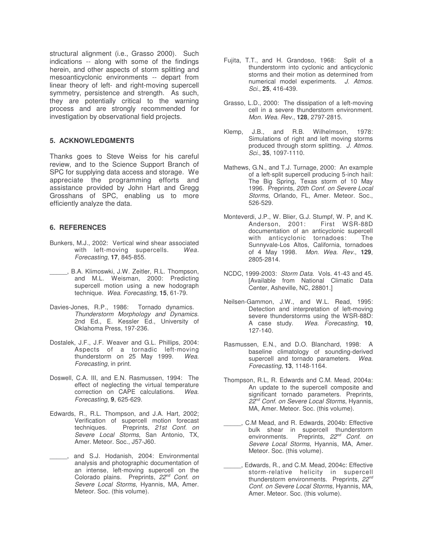structural alignment (i.e., Grasso 2000). Such indications -- along with some of the findings herein, and other aspects of storm splitting and mesoanticyclonic environments -- depart from linear theory of left- and right-moving supercell symmetry, persistence and strength. As such, they are potentially critical to the warning process and are strongly recommended for investigation by observational field projects.

## **5. ACKNOWLEDGMENTS**

Thanks goes to Steve Weiss for his careful review, and to the Science Support Branch of SPC for supplying data access and storage. We appreciate the programming efforts and assistance provided by John Hart and Gregg Grosshans of SPC, enabling us to more efficiently analyze the data.

## **6. REFERENCES**

- Bunkers, M.J., 2002: Vertical wind shear associated with left-moving supercells. *Wea. Forecasting*, **17**, 845-855.
- \_\_\_\_\_, B.A. Klimoswki, J.W. Zeitler, R.L. Thompson, and M.L. Weisman, 2000: Predicting supercell motion using a new hodograph technique. *Wea. Forecasting*, **15**, 61-79.
- Davies-Jones, R.P., 1986: Tornado dynamics. *Thunderstorm Morphology and Dynamics*. 2nd Ed., E. Kessler Ed., University of Oklahoma Press, 197-236.
- Dostalek, J.F., J.F. Weaver and G.L. Phillips, 2004: Aspects of a tornadic left-moving thunderstorm on 25 May 1999. *Wea. Forecasting*, in print.
- Doswell, C.A. III, and E.N. Rasmussen, 1994: The effect of neglecting the virtual temperature correction on CAPE calculations. *Wea. Forecasting*, **9**, 625-629.
- Edwards, R., R.L. Thompson, and J.A. Hart, 2002; Verification of supercell motion forecast techniques. Preprints, *21st Conf. on Severe Local Storms*, San Antonio, TX, Amer. Meteor. Soc., J57-J60.
- \_\_\_\_\_, and S.J. Hodanish, 2004: Environmental analysis and photographic documentation of an intense, left-moving supercell on the Colorado plains. Preprints, *22 nd Conf. on Severe Local Storms*, Hyannis, MA, Amer. Meteor. Soc. (this volume).
- Fujita, T.T., and H. Grandoso, 1968: Split of a thunderstorm into cyclonic and anticyclonic storms and their motion as determined from numerical model experiments. *J. Atmos. Sci*., **25**, 416-439.
- Grasso, L.D., 2000: The dissipation of a left-moving cell in a severe thunderstorm environment. *Mon. Wea. Rev.*, **128**, 2797-2815.
- Klemp, J.B., and R.B. Wilhelmson, 1978: Simulations of right and left moving storms produced through storm splitting. *J. Atmos. Sci.*, **35**, 1097-1110.
- Mathews, G.N., and T.J. Turnage, 2000: An example of a left-split supercell producing 5-inch hail: The Big Spring, Texas storm of 10 May 1996. Preprints, *20th Conf. on Severe Local Storms*, Orlando, FL, Amer. Meteor. Soc., 526-529.
- Monteverdi, J.P., W. Blier, G.J. Stumpf, W. P, and K. Anderson, 2001: documentation of an anticyclonic supercell with anticyclonic tornadoes: The Sunnyvale-Los Altos, California, tornadoes of 4 May 1998. *Mon. Wea. Rev.*, **129**, 2805-2814.
- NCDC, 1999-2003: *Storm Data*. Vols. 41-43 and 45. [Available from National Climatic Data Center, Asheville, NC, 28801.]
- Neilsen-Gammon, J.W., and W.L. Read, 1995: Detection and interpretation of left-moving severe thunderstorms using the WSR-88D:<br>A case study. Wea. Forecasting, 10, Wea. Forecasting, 10, 127-140.
- Rasmussen, E.N., and D.O. Blanchard, 1998: A baseline climatology of sounding-derived supercell and tornado parameters. *Wea. Forecasting*, **13**, 1148-1164.
- Thompson, R.L, R. Edwards and C.M. Mead, 2004a: An update to the supercell composite and significant tornado parameters. Preprints, *22 nd Conf. on Severe Local Storms*, Hyannis, MA, Amer. Meteor. Soc. (this volume).
- \_\_\_\_\_, C.M Mead, and R. Edwards, 2004b: Effective bulk shear in supercell thunderstorm environments. Preprints, 22<sup>nd</sup> Conf. on *Severe Local Storms*, Hyannis, MA, Amer. Meteor. Soc. (this volume).
- \_\_\_\_\_, Edwards, R., and C.M. Mead, 2004c: Effective storm-relative helicity in supercell thunderstorm environments. Preprints, 22<sup>nd</sup> *Conf. on Severe Local Storms*, Hyannis, MA, Amer. Meteor. Soc. (this volume).